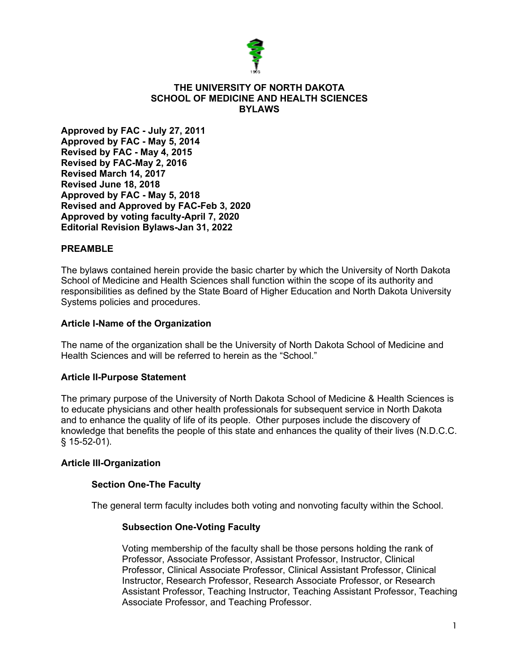

#### **THE UNIVERSITY OF NORTH DAKOTA SCHOOL OF MEDICINE AND HEALTH SCIENCES BYLAWS**

**Approved by FAC - July 27, 2011 Approved by FAC - May 5, 2014 Revised by FAC - May 4, 2015 Revised by FAC-May 2, 2016 Revised March 14, 2017 Revised June 18, 2018 Approved by FAC - May 5, 2018 Revised and Approved by FAC-Feb 3, 2020 Approved by voting faculty-April 7, 2020 Editorial Revision Bylaws-Jan 31, 2022**

#### **PREAMBLE**

The bylaws contained herein provide the basic charter by which the University of North Dakota School of Medicine and Health Sciences shall function within the scope of its authority and responsibilities as defined by the State Board of Higher Education and North Dakota University Systems policies and procedures.

#### **Article I-Name of the Organization**

The name of the organization shall be the University of North Dakota School of Medicine and Health Sciences and will be referred to herein as the "School."

### **Article II-Purpose Statement**

The primary purpose of the University of North Dakota School of Medicine & Health Sciences is to educate physicians and other health professionals for subsequent service in North Dakota and to enhance the quality of life of its people. Other purposes include the discovery of knowledge that benefits the people of this state and enhances the quality of their lives (N.D.C.C. § 15-52-01).

#### **Article III-Organization**

### **Section One-The Faculty**

The general term faculty includes both voting and nonvoting faculty within the School.

### **Subsection One-Voting Faculty**

Voting membership of the faculty shall be those persons holding the rank of Professor, Associate Professor, Assistant Professor, Instructor, Clinical Professor, Clinical Associate Professor, Clinical Assistant Professor, Clinical Instructor, Research Professor, Research Associate Professor, or Research Assistant Professor, Teaching Instructor, Teaching Assistant Professor, Teaching Associate Professor, and Teaching Professor.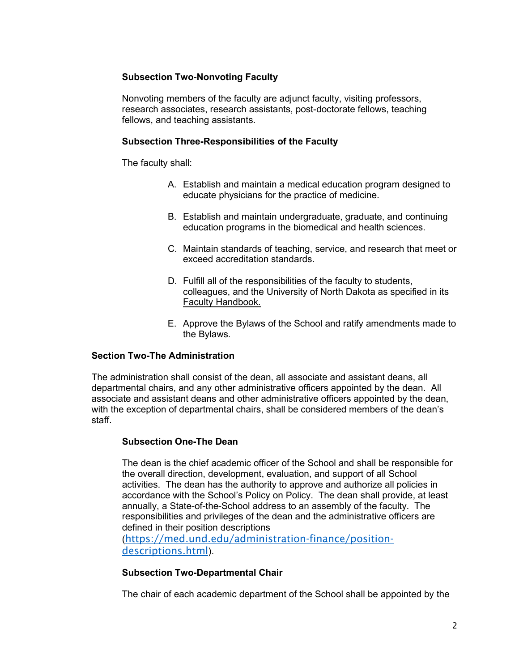# **Subsection Two-Nonvoting Faculty**

Nonvoting members of the faculty are adjunct faculty, visiting professors, research associates, research assistants, post-doctorate fellows, teaching fellows, and teaching assistants.

### **Subsection Three-Responsibilities of the Faculty**

The faculty shall:

- A. Establish and maintain a medical education program designed to educate physicians for the practice of medicine.
- B. Establish and maintain undergraduate, graduate, and continuing education programs in the biomedical and health sciences.
- C. Maintain standards of teaching, service, and research that meet or exceed accreditation standards.
- D. Fulfill all of the responsibilities of the faculty to students, colleagues, and the University of North Dakota as specified in its Faculty Handbook.
- E. Approve the Bylaws of the School and ratify amendments made to the Bylaws.

### **Section Two-The Administration**

The administration shall consist of the dean, all associate and assistant deans, all departmental chairs, and any other administrative officers appointed by the dean. All associate and assistant deans and other administrative officers appointed by the dean, with the exception of departmental chairs, shall be considered members of the dean's staff.

#### **Subsection One-The Dean**

The dean is the chief academic officer of the School and shall be responsible for the overall direction, development, evaluation, and support of all School activities. The dean has the authority to approve and authorize all policies in accordance with the School's Policy on Policy. The dean shall provide, at least annually, a State-of-the-School address to an assembly of the faculty. The responsibilities and privileges of the dean and the administrative officers are defined in their position descriptions

([https://med.und.edu/administration-finance/position](https://med.und.edu/administration-finance/position-descriptions.html)[descriptions.html](https://med.und.edu/administration-finance/position-descriptions.html)).

#### **Subsection Two-Departmental Chair**

The chair of each academic department of the School shall be appointed by the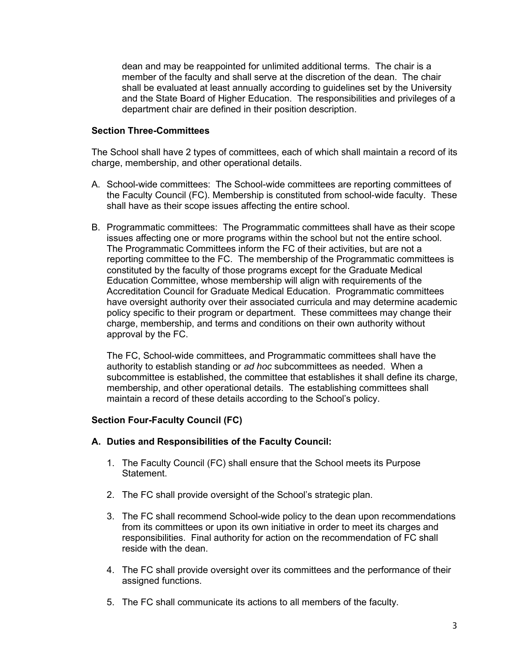dean and may be reappointed for unlimited additional terms. The chair is a member of the faculty and shall serve at the discretion of the dean. The chair shall be evaluated at least annually according to guidelines set by the University and the State Board of Higher Education. The responsibilities and privileges of a department chair are defined in their position description.

### **Section Three-Committees**

The School shall have 2 types of committees, each of which shall maintain a record of its charge, membership, and other operational details.

- A. School-wide committees: The School-wide committees are reporting committees of the Faculty Council (FC). Membership is constituted from school-wide faculty. These shall have as their scope issues affecting the entire school.
- B. Programmatic committees: The Programmatic committees shall have as their scope issues affecting one or more programs within the school but not the entire school. The Programmatic Committees inform the FC of their activities, but are not a reporting committee to the FC. The membership of the Programmatic committees is constituted by the faculty of those programs except for the Graduate Medical Education Committee, whose membership will align with requirements of the Accreditation Council for Graduate Medical Education. Programmatic committees have oversight authority over their associated curricula and may determine academic policy specific to their program or department. These committees may change their charge, membership, and terms and conditions on their own authority without approval by the FC.

The FC, School-wide committees, and Programmatic committees shall have the authority to establish standing or *ad hoc* subcommittees as needed. When a subcommittee is established, the committee that establishes it shall define its charge, membership, and other operational details. The establishing committees shall maintain a record of these details according to the School's policy.

### **Section Four-Faculty Council (FC)**

#### **A. Duties and Responsibilities of the Faculty Council:**

- 1. The Faculty Council (FC) shall ensure that the School meets its Purpose Statement.
- 2. The FC shall provide oversight of the School's strategic plan.
- 3. The FC shall recommend School-wide policy to the dean upon recommendations from its committees or upon its own initiative in order to meet its charges and responsibilities. Final authority for action on the recommendation of FC shall reside with the dean.
- 4. The FC shall provide oversight over its committees and the performance of their assigned functions.
- 5. The FC shall communicate its actions to all members of the faculty.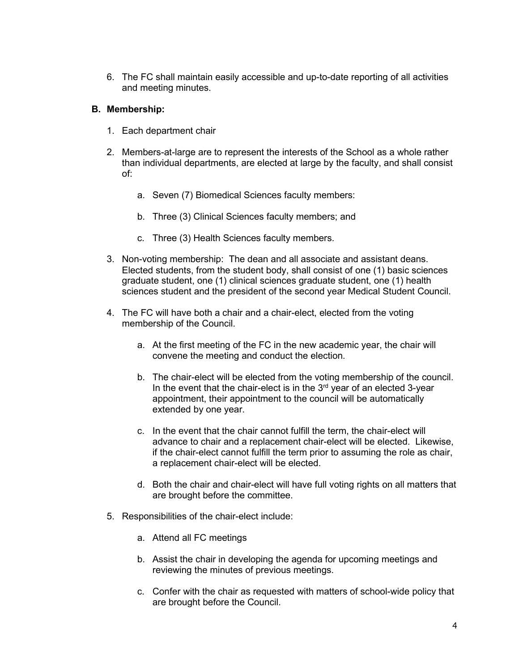6. The FC shall maintain easily accessible and up-to-date reporting of all activities and meeting minutes.

### **B. Membership:**

- 1. Each department chair
- 2. Members-at-large are to represent the interests of the School as a whole rather than individual departments, are elected at large by the faculty, and shall consist of:
	- a. Seven (7) Biomedical Sciences faculty members:
	- b. Three (3) Clinical Sciences faculty members; and
	- c. Three (3) Health Sciences faculty members.
- 3. Non-voting membership: The dean and all associate and assistant deans. Elected students, from the student body, shall consist of one (1) basic sciences graduate student, one (1) clinical sciences graduate student, one (1) health sciences student and the president of the second year Medical Student Council.
- 4. The FC will have both a chair and a chair-elect, elected from the voting membership of the Council.
	- a. At the first meeting of the FC in the new academic year, the chair will convene the meeting and conduct the election.
	- b. The chair-elect will be elected from the voting membership of the council. In the event that the chair-elect is in the  $3<sup>rd</sup>$  year of an elected  $3$ -year appointment, their appointment to the council will be automatically extended by one year.
	- c. In the event that the chair cannot fulfill the term, the chair-elect will advance to chair and a replacement chair-elect will be elected. Likewise, if the chair-elect cannot fulfill the term prior to assuming the role as chair, a replacement chair-elect will be elected.
	- d. Both the chair and chair-elect will have full voting rights on all matters that are brought before the committee.
- 5. Responsibilities of the chair-elect include:
	- a. Attend all FC meetings
	- b. Assist the chair in developing the agenda for upcoming meetings and reviewing the minutes of previous meetings.
	- c. Confer with the chair as requested with matters of school-wide policy that are brought before the Council.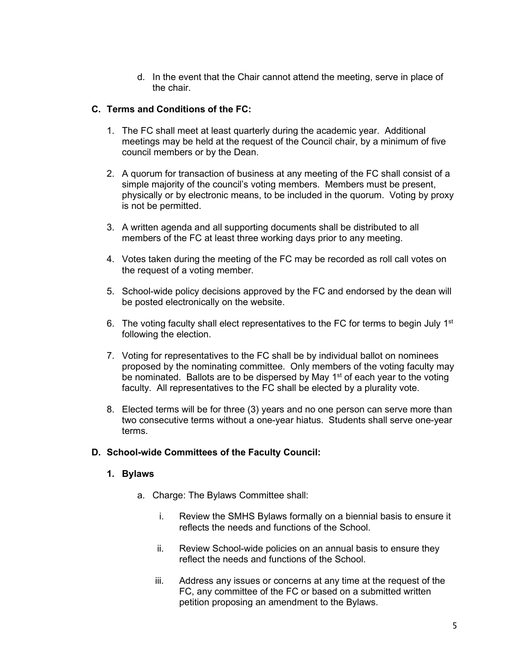d. In the event that the Chair cannot attend the meeting, serve in place of the chair.

### **C. Terms and Conditions of the FC:**

- 1. The FC shall meet at least quarterly during the academic year. Additional meetings may be held at the request of the Council chair, by a minimum of five council members or by the Dean.
- 2. A quorum for transaction of business at any meeting of the FC shall consist of a simple majority of the council's voting members. Members must be present, physically or by electronic means, to be included in the quorum. Voting by proxy is not be permitted.
- 3. A written agenda and all supporting documents shall be distributed to all members of the FC at least three working days prior to any meeting.
- 4. Votes taken during the meeting of the FC may be recorded as roll call votes on the request of a voting member.
- 5. School-wide policy decisions approved by the FC and endorsed by the dean will be posted electronically on the website.
- 6. The voting faculty shall elect representatives to the FC for terms to begin July  $1<sup>st</sup>$ following the election.
- 7. Voting for representatives to the FC shall be by individual ballot on nominees proposed by the nominating committee. Only members of the voting faculty may be nominated. Ballots are to be dispersed by May  $1<sup>st</sup>$  of each year to the voting faculty. All representatives to the FC shall be elected by a plurality vote.
- 8. Elected terms will be for three (3) years and no one person can serve more than two consecutive terms without a one-year hiatus. Students shall serve one-year terms.

### **D. School-wide Committees of the Faculty Council:**

### **1. Bylaws**

- a. Charge: The Bylaws Committee shall:
	- i. Review the SMHS Bylaws formally on a biennial basis to ensure it reflects the needs and functions of the School.
	- ii. Review School-wide policies on an annual basis to ensure they reflect the needs and functions of the School.
	- iii. Address any issues or concerns at any time at the request of the FC, any committee of the FC or based on a submitted written petition proposing an amendment to the Bylaws.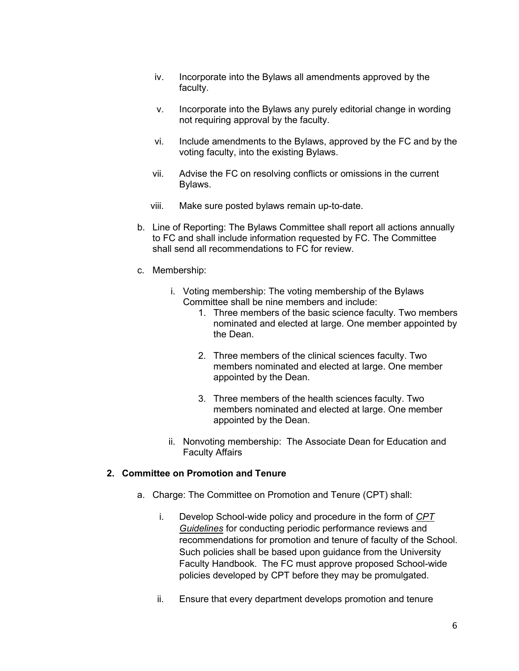- iv. Incorporate into the Bylaws all amendments approved by the faculty.
- v. Incorporate into the Bylaws any purely editorial change in wording not requiring approval by the faculty.
- vi. Include amendments to the Bylaws, approved by the FC and by the voting faculty, into the existing Bylaws.
- vii. Advise the FC on resolving conflicts or omissions in the current Bylaws.
- viii. Make sure posted bylaws remain up-to-date.
- b. Line of Reporting: The Bylaws Committee shall report all actions annually to FC and shall include information requested by FC. The Committee shall send all recommendations to FC for review.
- c. Membership:
	- i. Voting membership: The voting membership of the Bylaws Committee shall be nine members and include:
		- 1. Three members of the basic science faculty. Two members nominated and elected at large. One member appointed by the Dean.
		- 2. Three members of the clinical sciences faculty. Two members nominated and elected at large. One member appointed by the Dean.
		- 3. Three members of the health sciences faculty. Two members nominated and elected at large. One member appointed by the Dean.
	- ii. Nonvoting membership: The Associate Dean for Education and Faculty Affairs

#### **2. Committee on Promotion and Tenure**

- a. Charge: The Committee on Promotion and Tenure (CPT) shall:
	- i. Develop School-wide policy and procedure in the form of *CPT Guidelines* for conducting periodic performance reviews and recommendations for promotion and tenure of faculty of the School. Such policies shall be based upon guidance from the University Faculty Handbook. The FC must approve proposed School-wide policies developed by CPT before they may be promulgated.
	- ii. Ensure that every department develops promotion and tenure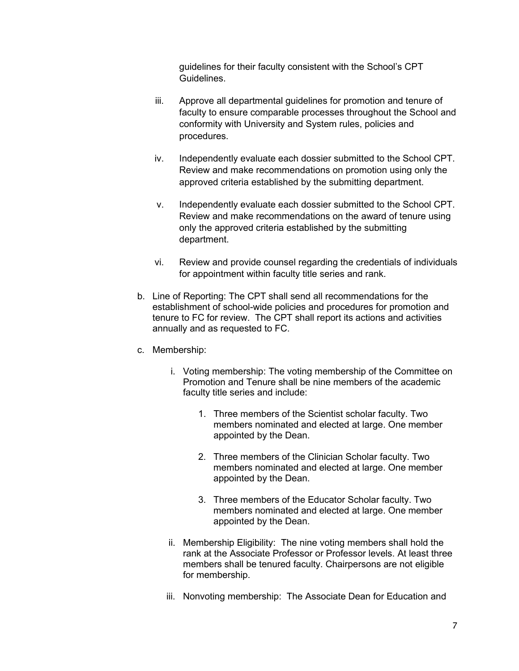guidelines for their faculty consistent with the School's CPT Guidelines.

- iii. Approve all departmental guidelines for promotion and tenure of faculty to ensure comparable processes throughout the School and conformity with University and System rules, policies and procedures.
- iv. Independently evaluate each dossier submitted to the School CPT. Review and make recommendations on promotion using only the approved criteria established by the submitting department.
- v. Independently evaluate each dossier submitted to the School CPT. Review and make recommendations on the award of tenure using only the approved criteria established by the submitting department.
- vi. Review and provide counsel regarding the credentials of individuals for appointment within faculty title series and rank.
- b. Line of Reporting: The CPT shall send all recommendations for the establishment of school-wide policies and procedures for promotion and tenure to FC for review. The CPT shall report its actions and activities annually and as requested to FC.
- c. Membership:
	- i. Voting membership: The voting membership of the Committee on Promotion and Tenure shall be nine members of the academic faculty title series and include:
		- 1. Three members of the Scientist scholar faculty. Two members nominated and elected at large. One member appointed by the Dean.
		- 2. Three members of the Clinician Scholar faculty. Two members nominated and elected at large. One member appointed by the Dean.
		- 3. Three members of the Educator Scholar faculty. Two members nominated and elected at large. One member appointed by the Dean.
	- ii. Membership Eligibility: The nine voting members shall hold the rank at the Associate Professor or Professor levels. At least three members shall be tenured faculty. Chairpersons are not eligible for membership.
	- iii. Nonvoting membership: The Associate Dean for Education and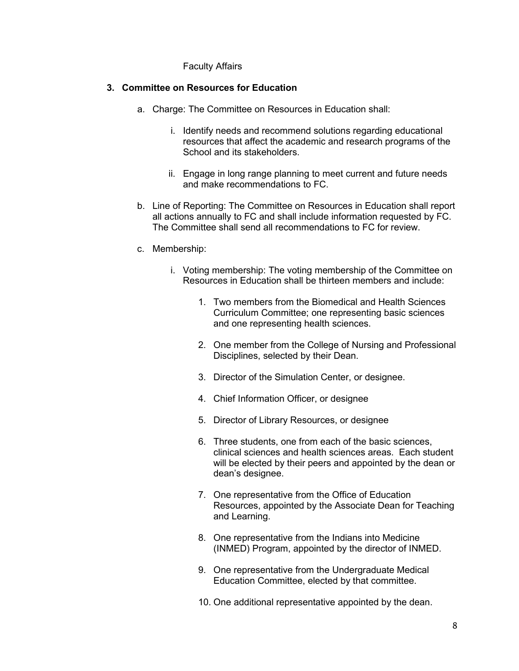#### Faculty Affairs

#### **3. Committee on Resources for Education**

- a. Charge: The Committee on Resources in Education shall:
	- i. Identify needs and recommend solutions regarding educational resources that affect the academic and research programs of the School and its stakeholders.
	- ii. Engage in long range planning to meet current and future needs and make recommendations to FC.
- b. Line of Reporting: The Committee on Resources in Education shall report all actions annually to FC and shall include information requested by FC. The Committee shall send all recommendations to FC for review.
- c. Membership:
	- i. Voting membership: The voting membership of the Committee on Resources in Education shall be thirteen members and include:
		- 1. Two members from the Biomedical and Health Sciences Curriculum Committee; one representing basic sciences and one representing health sciences.
		- 2. One member from the College of Nursing and Professional Disciplines, selected by their Dean.
		- 3. Director of the Simulation Center, or designee.
		- 4. Chief Information Officer, or designee
		- 5. Director of Library Resources, or designee
		- 6. Three students, one from each of the basic sciences, clinical sciences and health sciences areas. Each student will be elected by their peers and appointed by the dean or dean's designee.
		- 7. One representative from the Office of Education Resources, appointed by the Associate Dean for Teaching and Learning.
		- 8. One representative from the Indians into Medicine (INMED) Program, appointed by the director of INMED.
		- 9. One representative from the Undergraduate Medical Education Committee, elected by that committee.
		- 10. One additional representative appointed by the dean.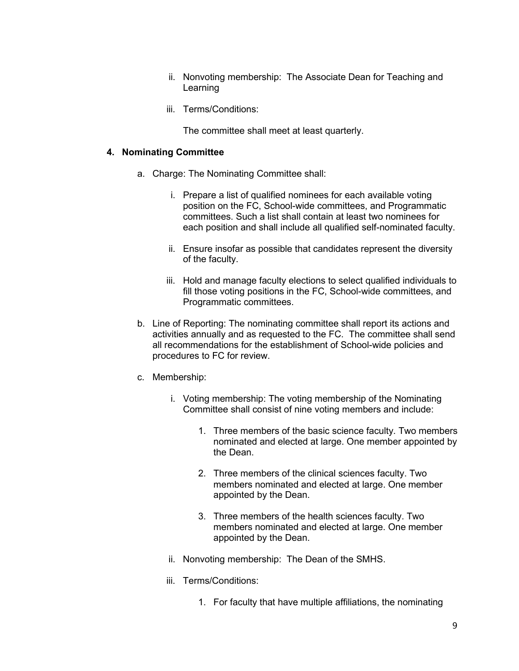- ii. Nonvoting membership: The Associate Dean for Teaching and Learning
- iii. Terms/Conditions:

The committee shall meet at least quarterly.

#### **4. Nominating Committee**

- a. Charge: The Nominating Committee shall:
	- i. Prepare a list of qualified nominees for each available voting position on the FC, School-wide committees, and Programmatic committees. Such a list shall contain at least two nominees for each position and shall include all qualified self-nominated faculty.
	- ii. Ensure insofar as possible that candidates represent the diversity of the faculty.
	- iii. Hold and manage faculty elections to select qualified individuals to fill those voting positions in the FC, School-wide committees, and Programmatic committees.
- b. Line of Reporting: The nominating committee shall report its actions and activities annually and as requested to the FC. The committee shall send all recommendations for the establishment of School-wide policies and procedures to FC for review.
- c. Membership:
	- i. Voting membership: The voting membership of the Nominating Committee shall consist of nine voting members and include:
		- 1. Three members of the basic science faculty. Two members nominated and elected at large. One member appointed by the Dean.
		- 2. Three members of the clinical sciences faculty. Two members nominated and elected at large. One member appointed by the Dean.
		- 3. Three members of the health sciences faculty. Two members nominated and elected at large. One member appointed by the Dean.
	- ii. Nonvoting membership: The Dean of the SMHS.
	- iii. Terms/Conditions:
		- 1. For faculty that have multiple affiliations, the nominating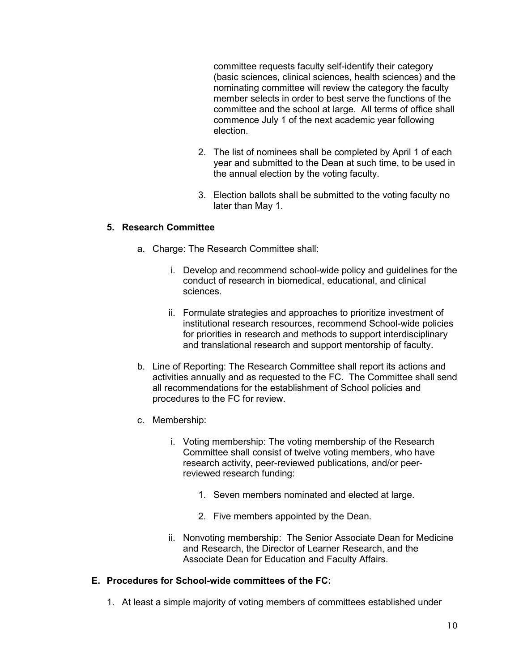committee requests faculty self-identify their category (basic sciences, clinical sciences, health sciences) and the nominating committee will review the category the faculty member selects in order to best serve the functions of the committee and the school at large. All terms of office shall commence July 1 of the next academic year following election.

- 2. The list of nominees shall be completed by April 1 of each year and submitted to the Dean at such time, to be used in the annual election by the voting faculty.
- 3. Election ballots shall be submitted to the voting faculty no later than May 1.

### **5. Research Committee**

- a. Charge: The Research Committee shall:
	- i. Develop and recommend school-wide policy and guidelines for the conduct of research in biomedical, educational, and clinical sciences.
	- ii. Formulate strategies and approaches to prioritize investment of institutional research resources, recommend School-wide policies for priorities in research and methods to support interdisciplinary and translational research and support mentorship of faculty.
- b. Line of Reporting: The Research Committee shall report its actions and activities annually and as requested to the FC. The Committee shall send all recommendations for the establishment of School policies and procedures to the FC for review.
- c. Membership:
	- i. Voting membership: The voting membership of the Research Committee shall consist of twelve voting members, who have research activity, peer-reviewed publications, and/or peerreviewed research funding:
		- 1. Seven members nominated and elected at large.
		- 2. Five members appointed by the Dean.
	- ii. Nonvoting membership: The Senior Associate Dean for Medicine and Research, the Director of Learner Research, and the Associate Dean for Education and Faculty Affairs.

### **E. Procedures for School-wide committees of the FC:**

1. At least a simple majority of voting members of committees established under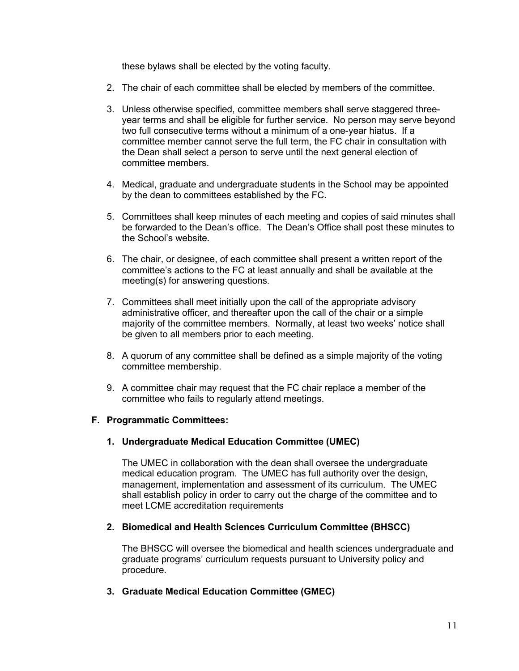these bylaws shall be elected by the voting faculty.

- 2. The chair of each committee shall be elected by members of the committee.
- 3. Unless otherwise specified, committee members shall serve staggered threeyear terms and shall be eligible for further service. No person may serve beyond two full consecutive terms without a minimum of a one-year hiatus. If a committee member cannot serve the full term, the FC chair in consultation with the Dean shall select a person to serve until the next general election of committee members.
- 4. Medical, graduate and undergraduate students in the School may be appointed by the dean to committees established by the FC.
- 5. Committees shall keep minutes of each meeting and copies of said minutes shall be forwarded to the Dean's office. The Dean's Office shall post these minutes to the School's website.
- 6. The chair, or designee, of each committee shall present a written report of the committee's actions to the FC at least annually and shall be available at the meeting(s) for answering questions.
- 7. Committees shall meet initially upon the call of the appropriate advisory administrative officer, and thereafter upon the call of the chair or a simple majority of the committee members. Normally, at least two weeks' notice shall be given to all members prior to each meeting.
- 8. A quorum of any committee shall be defined as a simple majority of the voting committee membership.
- 9. A committee chair may request that the FC chair replace a member of the committee who fails to regularly attend meetings.

### **F. Programmatic Committees:**

#### **1. Undergraduate Medical Education Committee (UMEC)**

The UMEC in collaboration with the dean shall oversee the undergraduate medical education program. The UMEC has full authority over the design, management, implementation and assessment of its curriculum. The UMEC shall establish policy in order to carry out the charge of the committee and to meet LCME accreditation requirements

#### **2. Biomedical and Health Sciences Curriculum Committee (BHSCC)**

The BHSCC will oversee the biomedical and health sciences undergraduate and graduate programs' curriculum requests pursuant to University policy and procedure.

**3. Graduate Medical Education Committee (GMEC)**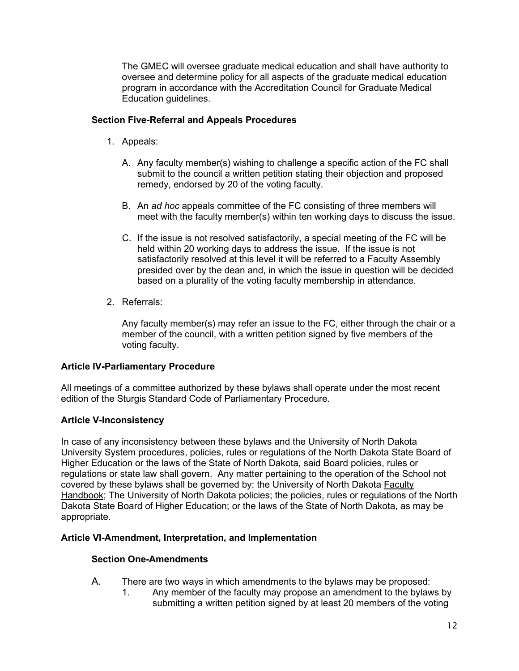The GMEC will oversee graduate medical education and shall have authority to oversee and determine policy for all aspects of the graduate medical education program in accordance with the Accreditation Council for Graduate Medical Education guidelines.

# **Section Five-Referral and Appeals Procedures**

- 1. Appeals:
	- A. Any faculty member(s) wishing to challenge a specific action of the FC shall submit to the council a written petition stating their objection and proposed remedy, endorsed by 20 of the voting faculty.
	- B. An *ad hoc* appeals committee of the FC consisting of three members will meet with the faculty member(s) within ten working days to discuss the issue.
	- C. If the issue is not resolved satisfactorily, a special meeting of the FC will be held within 20 working days to address the issue. If the issue is not satisfactorily resolved at this level it will be referred to a Faculty Assembly presided over by the dean and, in which the issue in question will be decided based on a plurality of the voting faculty membership in attendance.
- 2. Referrals:

Any faculty member(s) may refer an issue to the FC, either through the chair or a member of the council, with a written petition signed by five members of the voting faculty.

### **Article IV-Parliamentary Procedure**

All meetings of a committee authorized by these bylaws shall operate under the most recent edition of the Sturgis Standard Code of Parliamentary Procedure.

# **Article V-Inconsistency**

In case of any inconsistency between these bylaws and the University of North Dakota University System procedures, policies, rules or regulations of the North Dakota State Board of Higher Education or the laws of the State of North Dakota, said Board policies, rules or regulations or state law shall govern. Any matter pertaining to the operation of the School not covered by these bylaws shall be governed by: the University of North Dakota Faculty Handbook; The University of North Dakota policies; the policies, rules or regulations of the North Dakota State Board of Higher Education; or the laws of the State of North Dakota, as may be appropriate.

### **Article VI-Amendment, Interpretation, and Implementation**

### **Section One-Amendments**

- A. There are two ways in which amendments to the bylaws may be proposed:
	- 1. Any member of the faculty may propose an amendment to the bylaws by submitting a written petition signed by at least 20 members of the voting